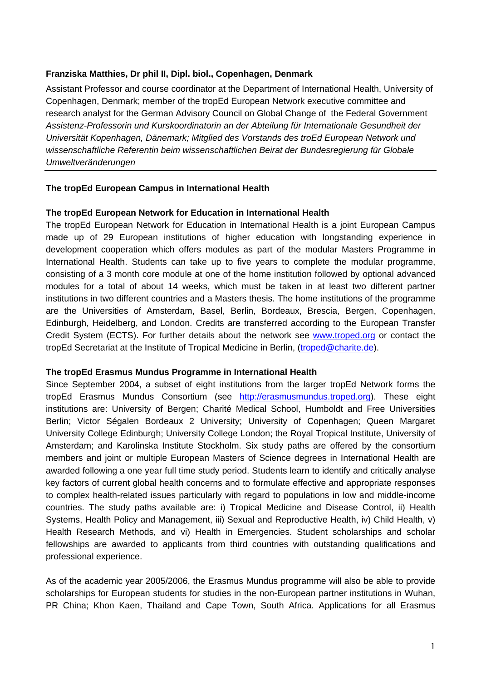## **Franziska Matthies, Dr phil II, Dipl. biol., Copenhagen, Denmark**

Assistant Professor and course coordinator at the Department of International Health, University of Copenhagen, Denmark; member of the tropEd European Network executive committee and research analyst for the German Advisory Council on Global Change of the Federal Government *Assistenz-Professorin und Kurskoordinatorin an der Abteilung für Internationale Gesundheit der Universität Kopenhagen, Dänemark; Mitglied des Vorstands des troEd European Network und wissenschaftliche Referentin beim wissenschaftlichen Beirat der Bundesregierung für Globale Umweltveränderungen* 

## **The tropEd European Campus in International Health**

## **The tropEd European Network for Education in International Health**

The tropEd European Network for Education in International Health is a joint European Campus made up of 29 European institutions of higher education with longstanding experience in development cooperation which offers modules as part of the modular Masters Programme in International Health. Students can take up to five years to complete the modular programme, consisting of a 3 month core module at one of the home institution followed by optional advanced modules for a total of about 14 weeks, which must be taken in at least two different partner institutions in two different countries and a Masters thesis. The home institutions of the programme are the Universities of Amsterdam, Basel, Berlin, Bordeaux, Brescia, Bergen, Copenhagen, Edinburgh, Heidelberg, and London. Credits are transferred according to the European Transfer Credit System (ECTS). For further details about the network see www.troped.org or contact the tropEd Secretariat at the Institute of Tropical Medicine in Berlin, (troped@charite.de).

## **The tropEd Erasmus Mundus Programme in International Health**

Since September 2004, a subset of eight institutions from the larger tropEd Network forms the tropEd Erasmus Mundus Consortium (see http://erasmusmundus.troped.org). These eight institutions are: University of Bergen; Charité Medical School, Humboldt and Free Universities Berlin; Victor Ségalen Bordeaux 2 University; University of Copenhagen; Queen Margaret University College Edinburgh; University College London; the Royal Tropical Institute, University of Amsterdam; and Karolinska Institute Stockholm. Six study paths are offered by the consortium members and joint or multiple European Masters of Science degrees in International Health are awarded following a one year full time study period. Students learn to identify and critically analyse key factors of current global health concerns and to formulate effective and appropriate responses to complex health-related issues particularly with regard to populations in low and middle-income countries. The study paths available are: i) Tropical Medicine and Disease Control, ii) Health Systems, Health Policy and Management, iii) Sexual and Reproductive Health, iv) Child Health, v) Health Research Methods, and vi) Health in Emergencies. Student scholarships and scholar fellowships are awarded to applicants from third countries with outstanding qualifications and professional experience.

As of the academic year 2005/2006, the Erasmus Mundus programme will also be able to provide scholarships for European students for studies in the non-European partner institutions in Wuhan, PR China; Khon Kaen, Thailand and Cape Town, South Africa. Applications for all Erasmus